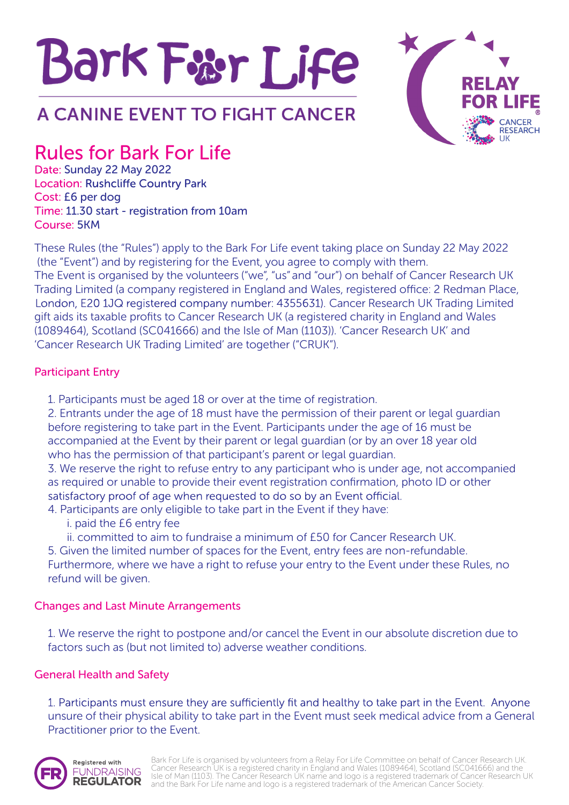



# Rules for Bark For Life

Date: Sunday 22 May 2022 **Location: Rushcliffe Country Park** Cost: £6 per dog Time: 11.30 start - registration from 10am Course: 5KM

These Rules (the "Rules") apply to the Bark For Life event taking place on Sunday 22 May 2022 (the "Event") and by registering for the Event, you agree to comply with them. The Event is organised by the volunteers ("we", "us" and "our") on behalf of Cancer Research UK Trading Limited (a company registered in England and Wales, registered office: 2 Redman Place, gift aids its taxable profits to Cancer Research UK (a registered charity in England and Wales (1089464), Scotland (SC041666) and the Isle of Man (1103)). 'Cancer Research UK' and 'Cancer Research UK Trading Limited' are together ("CRUK"). London, E20 1JQ registered company number: 4355631). Cancer Research UK Trading Limited

## Participant Entry

1. Participants must be aged 18 or over at the time of registration.

2. Entrants under the age of 18 must have the permission of their parent or legal guardian before registering to take part in the Event. Participants under the age of 16 must be accompanied at the Event by their parent or legal guardian (or by an over 18 year old who has the permission of that participant's parent or legal guardian.

3. We reserve the right to refuse entry to any participant who is under age, not accompanied as required or unable to provide their event registration confirmation, photo ID or other satisfactory proof of age when requested to do so by an Event official.

- 4. Participants are only eligible to take part in the Event if they have:
	- i. paid the £6 entry fee
	- ii. committed to aim to fundraise a minimum of £50 for Cancer Research UK.

5. Given the limited number of spaces for the Event, entry fees are non-refundable. Furthermore, where we have a right to refuse your entry to the Event under these Rules, no refund will be given.

# Changes and Last Minute Arrangements

1. We reserve the right to postpone and/or cancel the Event in our absolute discretion due to factors such as (but not limited to) adverse weather conditions.

# General Health and Safety

1. Participants must ensure they are sufficiently fit and healthy to take part in the Event. Anyone unsure of their physical ability to take part in the Event must seek medical advice from a General Practitioner prior to the Event.



Bark For Life is organised by volunteers from a Relay For Life Committee on behalf of Cancer Research UK. Cancer Research UK is a registered charity in England and Wales (1089464), Scotland (SC041666) and the Isle of Man (1103). The Cancer Research UK name and logo is a registered trademark of Cancer Research UK and the Bark For Life name and logo is a registered trademark of the American Cancer Society.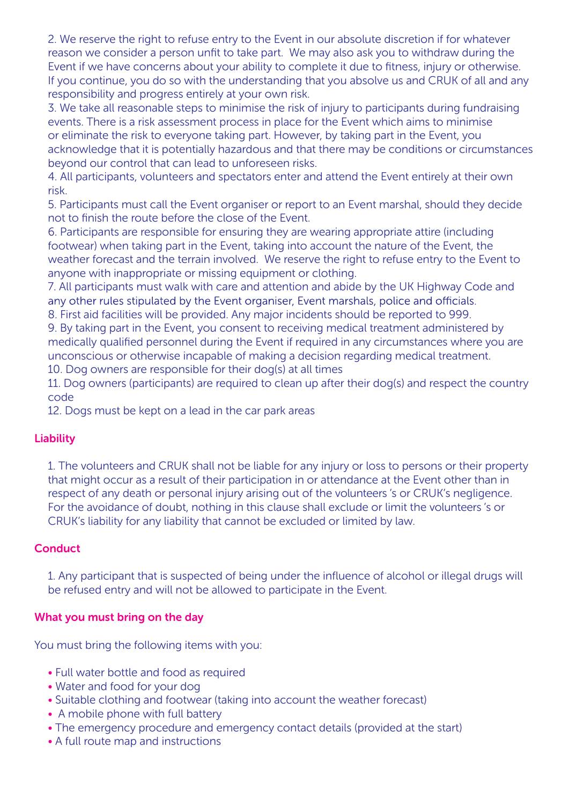2. We reserve the right to refuse entry to the Event in our absolute discretion if for whatever reason we consider a person unfit to take part. We may also ask you to withdraw during the Event if we have concerns about your ability to complete it due to fitness, injury or otherwise. If you continue, you do so with the understanding that you absolve us and CRUK of all and any responsibility and progress entirely at your own risk.

3. We take all reasonable steps to minimise the risk of injury to participants during fundraising events. There is a risk assessment process in place for the Event which aims to minimise or eliminate the risk to everyone taking part. However, by taking part in the Event, you acknowledge that it is potentially hazardous and that there may be conditions or circumstances beyond our control that can lead to unforeseen risks.

4. All participants, volunteers and spectators enter and attend the Event entirely at their own risk.

5. Participants must call the Event organiser or report to an Event marshal, should they decide not to finish the route before the close of the Event.

6. 1articipants are responsible for ensuring they are wearing appropriate attire (including footwear) when taking part in the Event, taking into account the nature of the Event, the weather forecast and the terrain involved. We reserve the right to refuse entry to the Event to anyone with inappropriate or missing equipment or clothing.

7. All participants must walk with care and attention and abide by the UK Highway Code and any other rules stipulated by the Event organiser, Event marshals, police and officials.

8. First aid facilities will be provided. Any major incidents should be reported to 999.

9. By taking part in the Event, you consent to receiving medical treatment administered by medically qualified personnel during the Event if required in any circumstances where you are unconscious or otherwise incapable of making a decision regarding medical treatment.

10. Dog owners are responsible for their dog(s) at all times

11. Dog owners (participants) are required to clean up after their dog(s) and respect the country code

12. Dogs must be kept on a lead in the car park areas

#### Liability

1. The volunteers and CRUK shall not be liable for any injury or loss to persons or their property that might occur as a result of their participation in or attendance at the Event other than in respect of any death or personal injury arising out of the volunteers 's or CRUK's negligence. For the avoidance of doubt, nothing in this clause shall exclude or limit the volunteers 's or CRUK's liability for any liability that cannot be excluded or limited by law.

## **Conduct**

1. Any participant that is suspected of being under the influence of alcohol or illegal drugs will be refused entry and will not be allowed to participate in the Event.

## What you must bring on the day

You must bring the following items with you:

- Full water bottle and food as required
- Water and food for your dog
- Suitable clothing and footwear (taking into account the weather forecast)
- A mobile phone with full battery
- The emergency procedure and emergency contact details (provided at the start)
- A full route map and instructions